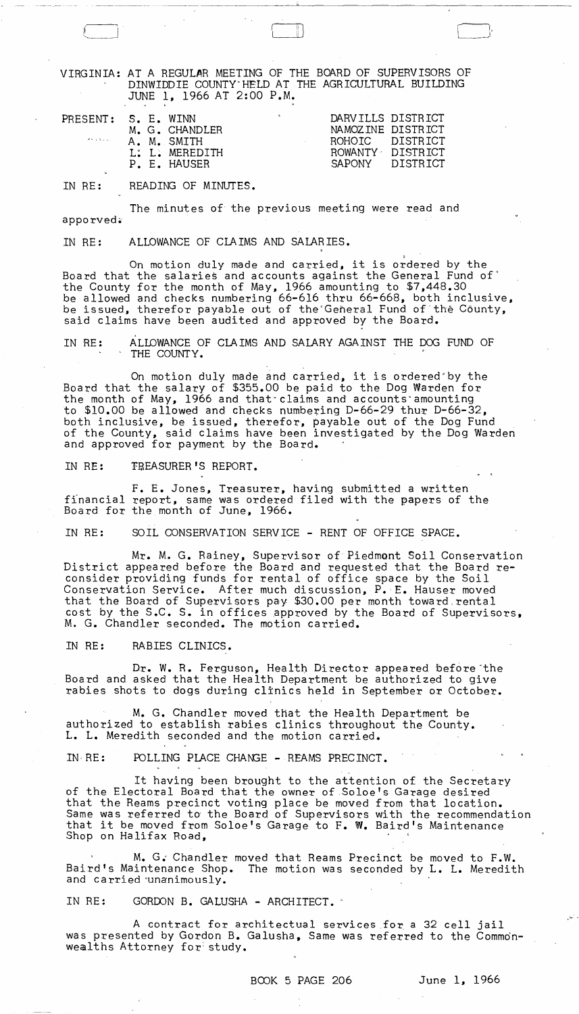VIRGINIA: AT A REGULAR MEETING OF THE BOARD OF SUPERVISORS OF DINWIDDIE COUNTY"HELD AT THE AGRICULTURAL BUILDING JUNE 1, 1966 AT 2:00 P.M.

| PRESENT: 5. E. WINN |  |                | c. |                 | DARVILLS DISTRICT |
|---------------------|--|----------------|----|-----------------|-------------------|
|                     |  | M. G. CHANDLER |    |                 | NAMOZINE DISTRICT |
|                     |  | A. M. SMITH    |    | ROHOTC DISTRICT |                   |
|                     |  | L: L. MEREDITH |    |                 | ROWANTY DISTRICT  |
|                     |  | P. E. HAUSER   |    |                 | SAPONY DISTRICT   |
| ◡                   |  |                |    |                 |                   |

IN RE: READING OF MINUTES.

apporved~ The minutes of the previous meeting were read and

IN RE: ALLOWANCE OF CLAIMS AND SALARIES.

On motion duly made and carried, it is ordered by the Board that the salaries and accounts against the General Fund of" the County for the month of May, 1966 amounting to \$7,448.30 be allowed and checks numbering 66-616 thru 66-668, both inclusive, be issued, therefor payable out of the General Fund of the County, said claims have been audited and approved by the Board.

IN RE: ALLOWANCE OF CLAIMS AND SALARY AGAINST THE DOG FUND OF THE COUNTY.

On motion duly made and carried, it is ordered by the Board that the salary of \$355.00 be paid to the Dog Warden for the month of May, 1966 and that" claims and accounts"amounting to \$10.00 be allowed and checks numbering D-66-29 thur D-66-32, both inclusive, be issued, therefor. payable out of the Dog Fund of the County, said claims have been investigated by the Dog Warden and approved for payment by the Board.

IN RE: FREASURER'S REPORT.

F. E. Jones, Treasurer, having submitted a written financial report, same was ordered filed with the papers of the Board for the month of June, 1966.

IN RE: SOIL CONSERVATION SERVICE - RENT OF OFFICE SPACE.

Mr. M. G. Rainey, Supervisor of Piedmont Soil Conservation District appeared before the Board and requested that the Board reconsider providing funds for rental of office space by the Soil Conservation Service. After much discussion, P.E. Hauser moved that the Board of Supervisors pay \$30.00 per month toward rental cost by the S.C. S. in offices approved by the Board of Supervisors, M. G. Chandler seconded. The motion carried.

IN RE: RABIES CLINICS.

Dr. W. R. Ferguson, Health Director appeared before the Board and asked that the Health Department be authorized to give rabies shots to dogs during clinics held in September or October.

M. G. Chandler moved that the Health Department be authorized to establish rabies clinics throughout the County. L. L. Meredith seconded and the motion carried.

 $IN RE:$ POLLING PLACE CHANGE - REAMS PRECINCT.

It having been brought to the attention of the Secretary of the Electoral Board that the owner of Soloe's Garage desired that the Reams precinct voting place be moved from that location. Same was referred to the Board of Supervisors with the recommendation same was referred to the Board of Supervisors with the recommendat<br>that it be moved from Soloe's Garage to F. W. Baird's Maintenance Shop on Halifax Road,

M. G; Chandler moved that Reams Precinct be moved to F.W. Baird's Maintenance Shop. The motion was seconded by L. L. Meredith and carried "unanimously.

IN RE: GORDON B. GALUSHA - ARCHITECT.

A contract for architectual services for a 32 cell jail was presented by Gordon B. Galusha, Same was referred to the Commonwealths Attorney for: study.

r----I,  $\begin{picture}(120,15) \put(0,0){\line(1,0){155}} \put(15,0){\line(1,0){155}} \put(15,0){\line(1,0){155}} \put(15,0){\line(1,0){155}} \put(15,0){\line(1,0){155}} \put(15,0){\line(1,0){155}} \put(15,0){\line(1,0){155}} \put(15,0){\line(1,0){155}} \put(15,0){\line(1,0){155}} \put(15,0){\line(1,0){155}} \put(15,0){\line(1,0){155}}$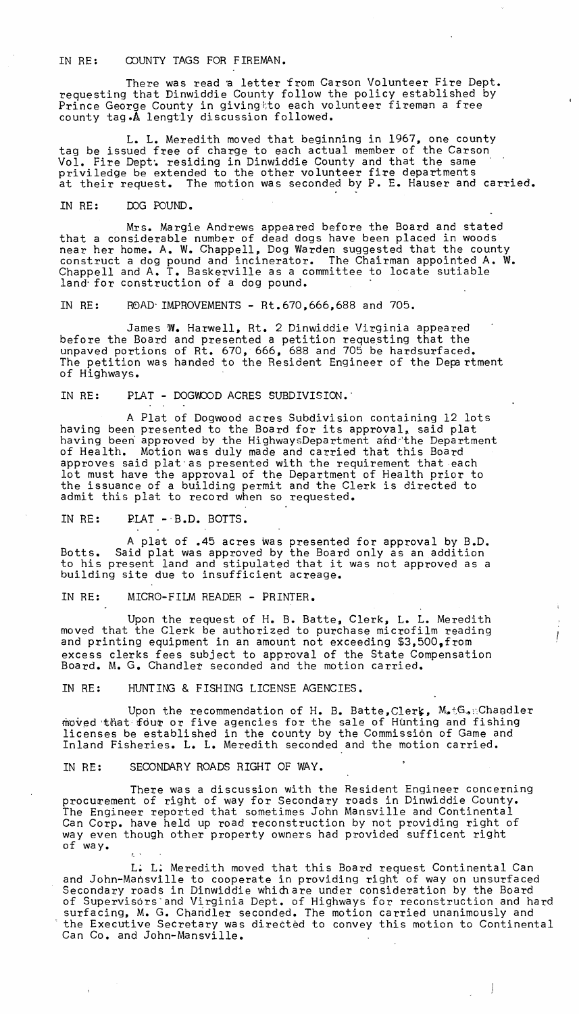IN RE: COUNTY TAGS FOR FIREMAN.

There was read a letter from Carson Volunteer Fire Dept. requesting that Dinwiddie County follow the policy established by Prince George County in givingtto each volunteer fireman a free county tag.A lengtly discussion followed.

L. L. Meredith moved that beginning in 1967. one county tag be issued free of charge to each actual member of the Carson Vol. Fire Dept·. residing in Dinwiddie County and that the same priviledge be extended to the other volunteer fire departments at their request. The motion was seconded by P. E. Hauser and carried.

IN RE: IDG POUND.

Mrs. Margie Andrews appeared before the Board and stated that a considerable number of dead dogs have been placed in woods near her home. A. W. Chappell, Dog Warden suggested that the county construct a dog pound and incinerator. The Chairman appointed A. W. Chappell and A. T. Baskerville as a committee to locate sutiable land' for construction of a dog pound.

IN RE: R0AD' IMPROVEMENTS - Rt.670,666,688 and 705.

James W. Harwell, Rt. 2 Dinwiddie Virginia appeared before the Board and presented a petition requesting that the unpaved portions of Rt. 670, 666, 688 and 705 be hardsurfaced. The petition was handed to the Resident Engineer of the Department of Highways.

IN RE: PLAT - DOGWOOD ACRES SUBDIVISION.

A Plat of Dogwood acres Subdivision containing 12 lots having been presented to the Board for its approval, said plat having been approved by the HighwaysDepartment and the Department of Health. Motion was duly made and carried that this Board approves said plat'as presented with the requirement that each lot must have the approval of the Department of Health prior to the issuance of a building permit and the Clerk is directed to admit this plat to record when so requested.

IN RE:  $PLAT - B.D. BOT$ .

A plat of .45 acres was presented for approval by B.D. Botts. Said plat was approved by the Board only as an addition to his present land and stipulated that it was not approved as a building site due to insufficient acreage.

IN RE: MICRO-FILM READER - PRINTER.

Upon the request of H. B. Batte, Clerk, L. L. Meredith moved that the Clerk be authorized to purchase microfilm reading and printing equipment in an amount not exceeding \$3,500, from excess clerks fees subject to approval of the State Compensation Board. M. G. Chandler seconded and the motion carried.

IN RE: HUNTING & FISHING LICENSE AGENCIES.

Upon the recommendation of H. B. Batte, Clerk,  $M_{\bullet}$ tG. ::Chandler moved that fout or five agencies for the sale of Hunting and fishing licenses be established in the county by the Commission of Game and Inland Fisheries. L. L. Meredith seconded and the motion carried.

IN RE: SECONDARY ROADS RIGHT OF WAY.

There was a discussion with the Resident Engineer concerning<br>procurement of right of way for Secondary roads in Dinwiddie County. The Engineer reported that sometimes John Mansville and Continental Can Corp. have held up road reconstruction by not providing right of way even though other property owners had provided sufficent right of way.

L; L; Meredith moved that this Board request Continental Can and John-Mansville to cooperate in providing right of way on unsurfaced Secondary roads in Dinwiddie whim are under consideration by the Board of Supervisors'and Virginia Dept. of Highways for reconstruction and hard surfacing, M. G. Chandler seconded. The motion carried unanimously and the Executive Secretary was directed to convey this motion to Continental Can Co. and John-Mansville.

 $\frac{1}{2}$